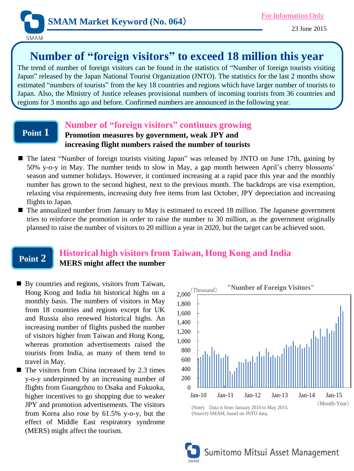

# **Number of "foreign visitors" to exceed 18 million this year**

The trend of number of foreign visitors can be found in the statistics of "Number of foreign tourists visiting Japan" released by the Japan National Tourist Organization (JNTO). The statistics for the last 2 months show estimated "numbers of tourists" from the key 18 countries and regions which have larger number of tourists to Japan. Also, the Ministry of Justice releases provisional numbers of incoming tourists from 36 countries and regions for 3 months ago and before. Confirmed numbers are announced in the following year.

### **Point 1**

## **Number of "foreign visitors" continues growing**

### **Promotion measures by government, weak JPY and increasing flight numbers raised the number of tourists**

- The latest "Number of foreign tourists visiting Japan" was released by JNTO on June 17th, gaining by 50% y-o-y in May. The number tends to slow in May, a gap month between April's cherry blossoms' season and summer holidays. However, it continued increasing at a rapid pace this year and the monthly number has grown to the second highest, next to the previous month. The backdrops are visa exemption, relaxing visa requirements, increasing duty free items from last October, JPY depreciation and increasing flights to Japan.
- The annualized number from January to May is estimated to exceed 18 million. The Japanese government tries to reinforce the promotion in order to raise the number to 30 million, as the government originally planned to raise the number of visitors to 20 million a year in 2020, but the target can be achieved soon.

#### **Point 2 Historical high visitors from Taiwan, Hong Kong and India MERS might affect the number**

- By countries and regions, visitors from Taiwan, Hong Kong and India hit historical highs on a monthly basis. The numbers of visitors in May from 18 countries and regions except for UK and Russia also renewed historical highs. An increasing number of flights pushed the number of visitors higher from Taiwan and Hong Kong, whereas promotion advertisements raised the tourists from India, as many of them tend to travel in May.
- The visitors from China increased by 2.3 times y-o-y underpinned by an increasing number of flights from Guangzhou to Osaka and Fukuoka, higher incentives to go shopping due to weaker JPY and promotion advertisements. The visitors from Korea also rose by 61.5% y-o-y, but the effect of Middle East respiratory syndrome (MERS) might affect the tourism.